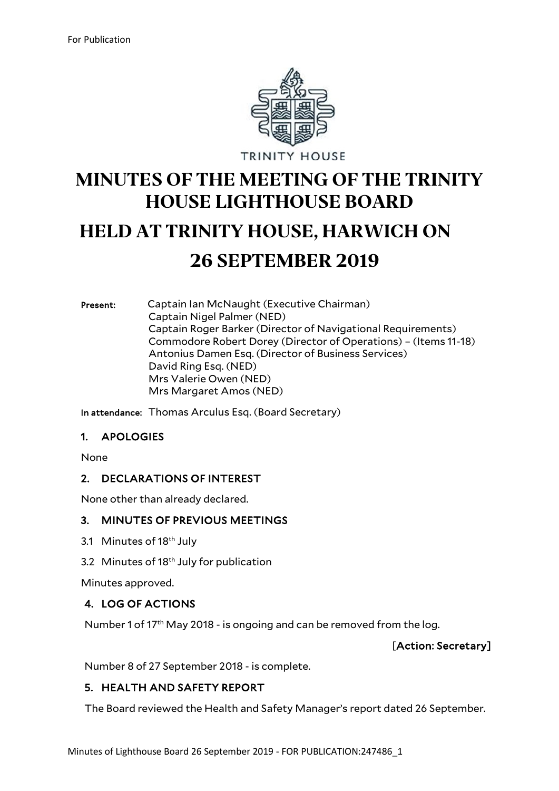

# **MINUTES OF THE MEETING OF THE TRINITY HOUSE LIGHTHOUSE BOARD HELD AT TRINITY HOUSE, HARWICH ON 26 SEPTEMBER 2019**

Present: Captain Ian McNaught (Executive Chairman) Captain Nigel Palmer (NED) Captain Roger Barker (Director of Navigational Requirements) Commodore Robert Dorey (Director of Operations) – (Items 11-18) Antonius Damen Esq. (Director of Business Services) David Ring Esq. (NED) Mrs Valerie Owen (NED) Mrs Margaret Amos (NED)

In attendance: Thomas Arculus Esq. (Board Secretary)

#### 1. APOLOGIES

None

#### 2. DECLARATIONS OF INTEREST

None other than already declared.

#### 3. MINUTES OF PREVIOUS MEETINGS

- 3.1 Minutes of 18<sup>th</sup> July
- 3.2 Minutes of 18<sup>th</sup> July for publication

Minutes approved.

## 4. LOG OF ACTIONS

Number 1 of 17<sup>th</sup> May 2018 - is ongoing and can be removed from the log.

[Action: Secretary]

Number 8 of 27 September 2018 - is complete.

## 5. HEALTH AND SAFETY REPORT

The Board reviewed the Health and Safety Manager's report dated 26 September.

Minutes of Lighthouse Board 26 September 2019 - FOR PUBLICATION:247486\_1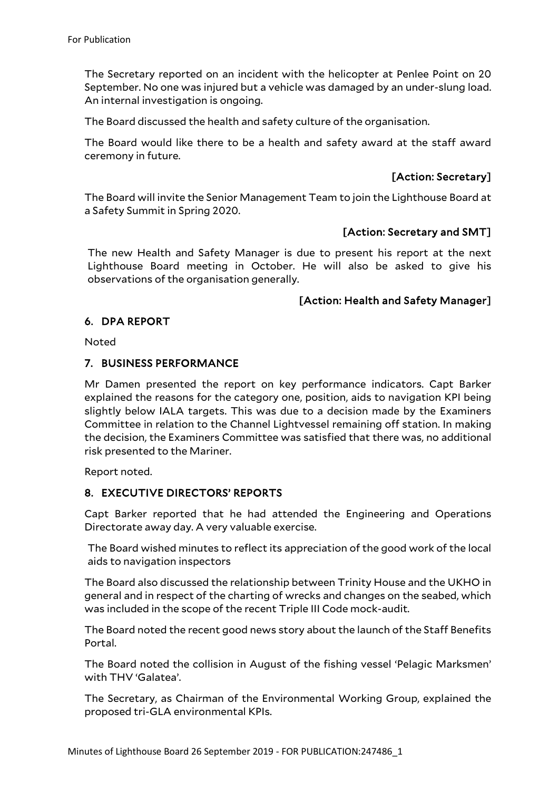The Secretary reported on an incident with the helicopter at Penlee Point on 20 September. No one was injured but a vehicle was damaged by an under-slung load. An internal investigation is ongoing.

The Board discussed the health and safety culture of the organisation.

The Board would like there to be a health and safety award at the staff award ceremony in future.

# [Action: Secretary]

The Board will invite the Senior Management Team to join the Lighthouse Board at a Safety Summit in Spring 2020.

## [Action: Secretary and SMT]

The new Health and Safety Manager is due to present his report at the next Lighthouse Board meeting in October. He will also be asked to give his observations of the organisation generally.

## [Action: Health and Safety Manager]

#### 6. DPA REPORT

Noted

#### 7. BUSINESS PERFORMANCE

Mr Damen presented the report on key performance indicators. Capt Barker explained the reasons for the category one, position, aids to navigation KPI being slightly below IALA targets. This was due to a decision made by the Examiners Committee in relation to the Channel Lightvessel remaining off station. In making the decision, the Examiners Committee was satisfied that there was, no additional risk presented to the Mariner.

Report noted.

## 8. EXECUTIVE DIRECTORS' REPORTS

Capt Barker reported that he had attended the Engineering and Operations Directorate away day. A very valuable exercise.

The Board wished minutes to reflect its appreciation of the good work of the local aids to navigation inspectors

The Board also discussed the relationship between Trinity House and the UKHO in general and in respect of the charting of wrecks and changes on the seabed, which was included in the scope of the recent Triple III Code mock-audit.

The Board noted the recent good news story about the launch of the Staff Benefits Portal.

The Board noted the collision in August of the fishing vessel 'Pelagic Marksmen' with THV 'Galatea'.

The Secretary, as Chairman of the Environmental Working Group, explained the proposed tri-GLA environmental KPIs.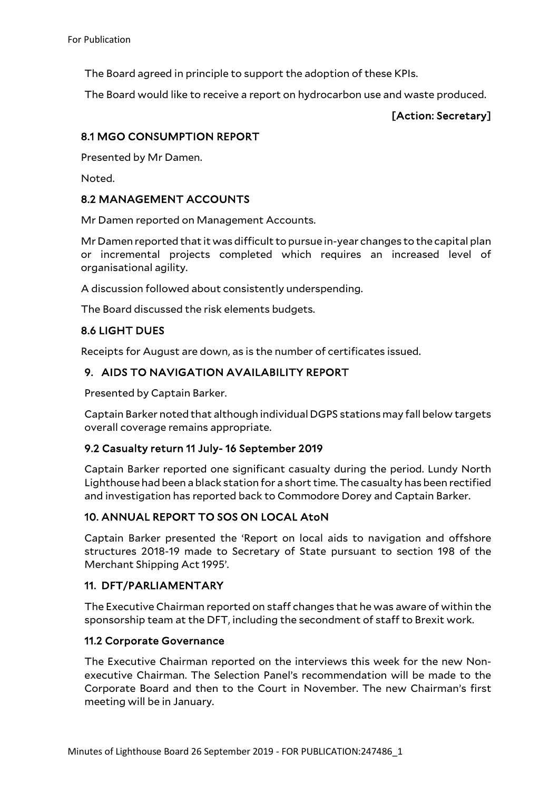The Board agreed in principle to support the adoption of these KPIs.

The Board would like to receive a report on hydrocarbon use and waste produced.

# [Action: Secretary]

## 8.1 MGO CONSUMPTION REPORT

Presented by Mr Damen.

Noted.

## 8.2 MANAGEMENT ACCOUNTS

Mr Damen reported on Management Accounts.

Mr Damen reported that it was difficult to pursue in-year changes to the capital plan or incremental projects completed which requires an increased level of organisational agility.

A discussion followed about consistently underspending.

The Board discussed the risk elements budgets.

# 8.6 LIGHT DUES

Receipts for August are down, as is the number of certificates issued.

# 9. AIDS TO NAVIGATION AVAILABILITY REPORT

Presented by Captain Barker.

Captain Barker noted that although individual DGPS stations may fall below targets overall coverage remains appropriate.

## 9.2 Casualty return 11 July- 16 September 2019

Captain Barker reported one significant casualty during the period. Lundy North Lighthouse had been a black station for a short time. The casualty has been rectified and investigation has reported back to Commodore Dorey and Captain Barker.

# 10. ANNUAL REPORT TO SOS ON LOCAL AtoN

Captain Barker presented the 'Report on local aids to navigation and offshore structures 2018-19 made to Secretary of State pursuant to section 198 of the Merchant Shipping Act 1995'.

## 11. DFT/PARLIAMENTARY

The Executive Chairman reported on staff changes that he was aware of within the sponsorship team at the DFT, including the secondment of staff to Brexit work.

## 11.2 Corporate Governance

The Executive Chairman reported on the interviews this week for the new Nonexecutive Chairman. The Selection Panel's recommendation will be made to the Corporate Board and then to the Court in November. The new Chairman's first meeting will be in January.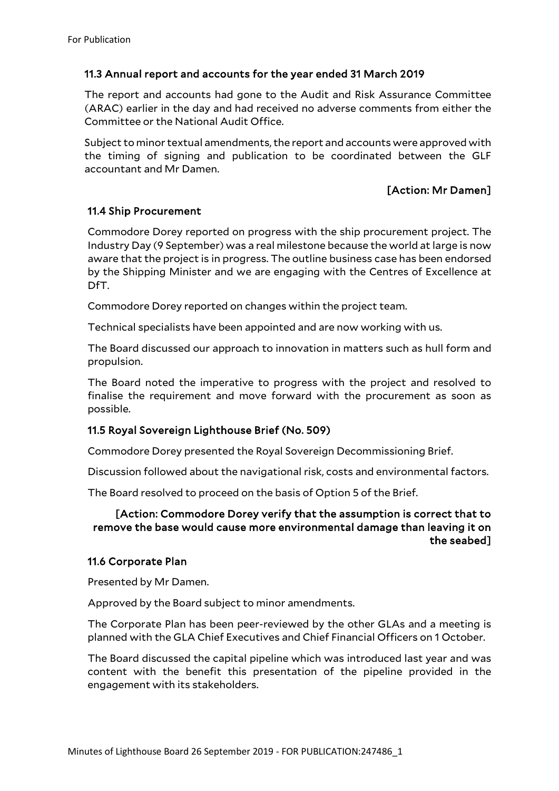## 11.3 Annual report and accounts for the year ended 31 March 2019

The report and accounts had gone to the Audit and Risk Assurance Committee (ARAC) earlier in the day and had received no adverse comments from either the Committee or the National Audit Office.

Subject to minor textual amendments, the report and accounts were approved with the timing of signing and publication to be coordinated between the GLF accountant and Mr Damen.

## [Action: Mr Damen]

#### 11.4 Ship Procurement

Commodore Dorey reported on progress with the ship procurement project. The Industry Day (9 September) was a real milestone because the world at large is now aware that the project is in progress. The outline business case has been endorsed by the Shipping Minister and we are engaging with the Centres of Excellence at DfT.

Commodore Dorey reported on changes within the project team.

Technical specialists have been appointed and are now working with us.

The Board discussed our approach to innovation in matters such as hull form and propulsion.

The Board noted the imperative to progress with the project and resolved to finalise the requirement and move forward with the procurement as soon as possible.

#### 11.5 Royal Sovereign Lighthouse Brief (No. 509)

Commodore Dorey presented the Royal Sovereign Decommissioning Brief.

Discussion followed about the navigational risk, costs and environmental factors.

The Board resolved to proceed on the basis of Option 5 of the Brief.

#### [Action: Commodore Dorey verify that the assumption is correct that to remove the base would cause more environmental damage than leaving it on the seabed]

#### 11.6 Corporate Plan

Presented by Mr Damen.

Approved by the Board subject to minor amendments.

The Corporate Plan has been peer-reviewed by the other GLAs and a meeting is planned with the GLA Chief Executives and Chief Financial Officers on 1 October.

The Board discussed the capital pipeline which was introduced last year and was content with the benefit this presentation of the pipeline provided in the engagement with its stakeholders.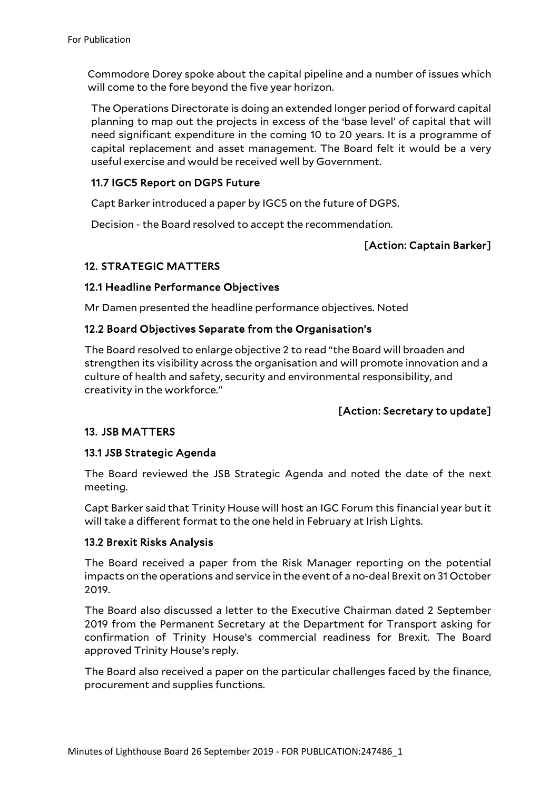Commodore Dorey spoke about the capital pipeline and a number of issues which will come to the fore beyond the five year horizon.

The Operations Directorate is doing an extended longer period of forward capital planning to map out the projects in excess of the 'base level' of capital that will need significant expenditure in the coming 10 to 20 years. It is a programme of capital replacement and asset management. The Board felt it would be a very useful exercise and would be received well by Government.

#### 11.7 IGC5 Report on DGPS Future

Capt Barker introduced a paper by IGC5 on the future of DGPS.

Decision - the Board resolved to accept the recommendation.

# [Action: Captain Barker]

# 12. STRATEGIC MATTERS

## 12.1 Headline Performance Objectives

Mr Damen presented the headline performance objectives. Noted

## 12.2 Board Objectives Separate from the Organisation's

The Board resolved to enlarge objective 2 to read "the Board will broaden and strengthen its visibility across the organisation and will promote innovation and a culture of health and safety, security and environmental responsibility, and creativity in the workforce."

## [Action: Secretary to update]

## 13. JSB MATTERS

## 13.1 JSB Strategic Agenda

The Board reviewed the JSB Strategic Agenda and noted the date of the next meeting.

Capt Barker said that Trinity House will host an IGC Forum this financial year but it will take a different format to the one held in February at Irish Lights.

#### 13.2 Brexit Risks Analysis

The Board received a paper from the Risk Manager reporting on the potential impacts on the operations and service in the event of a no-deal Brexit on 31 October 2019.

The Board also discussed a letter to the Executive Chairman dated 2 September 2019 from the Permanent Secretary at the Department for Transport asking for confirmation of Trinity House's commercial readiness for Brexit. The Board approved Trinity House's reply.

The Board also received a paper on the particular challenges faced by the finance, procurement and supplies functions.